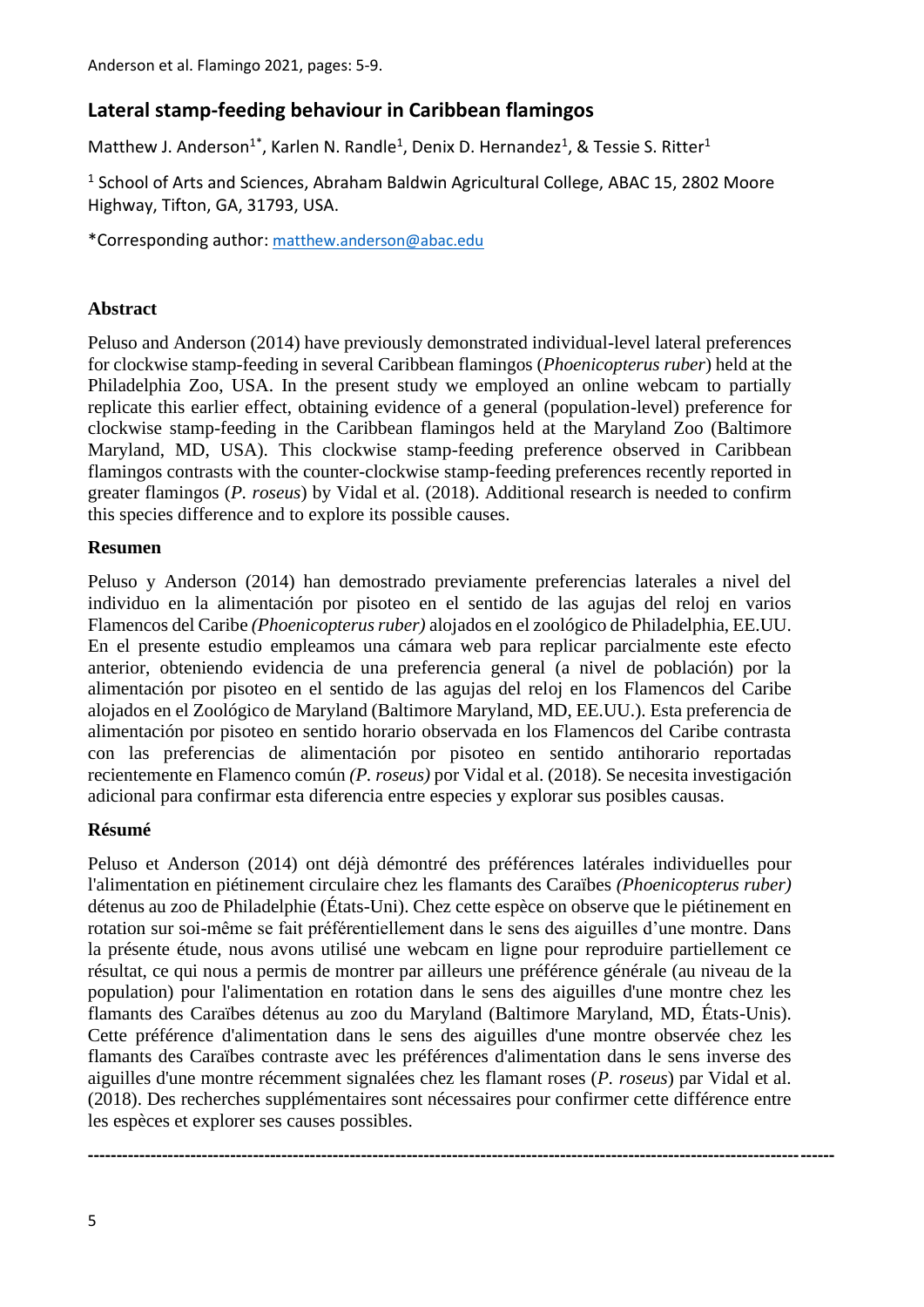# **Lateral stamp-feeding behaviour in Caribbean flamingos**

Matthew J. Anderson<sup>1\*</sup>, Karlen N. Randle<sup>1</sup>, Denix D. Hernandez<sup>1</sup>, & Tessie S. Ritter<sup>1</sup>

<sup>1</sup> School of Arts and Sciences, Abraham Baldwin Agricultural College, ABAC 15, 2802 Moore Highway, Tifton, GA, 31793, USA.

\*Corresponding author: [matthew.anderson@abac.edu](mailto:matthew.anderson@abac.edu)

### **Abstract**

Peluso and Anderson (2014) have previously demonstrated individual-level lateral preferences for clockwise stamp-feeding in several Caribbean flamingos (*Phoenicopterus ruber*) held at the Philadelphia Zoo, USA. In the present study we employed an online webcam to partially replicate this earlier effect, obtaining evidence of a general (population-level) preference for clockwise stamp-feeding in the Caribbean flamingos held at the Maryland Zoo (Baltimore Maryland, MD, USA). This clockwise stamp-feeding preference observed in Caribbean flamingos contrasts with the counter-clockwise stamp-feeding preferences recently reported in greater flamingos (*P. roseus*) by Vidal et al. (2018). Additional research is needed to confirm this species difference and to explore its possible causes.

#### **Resumen**

Peluso y Anderson (2014) han demostrado previamente preferencias laterales a nivel del individuo en la alimentación por pisoteo en el sentido de las agujas del reloj en varios Flamencos del Caribe *(Phoenicopterus ruber)* alojados en el zoológico de Philadelphia, EE.UU. En el presente estudio empleamos una cámara web para replicar parcialmente este efecto anterior, obteniendo evidencia de una preferencia general (a nivel de población) por la alimentación por pisoteo en el sentido de las agujas del reloj en los Flamencos del Caribe alojados en el Zoológico de Maryland (Baltimore Maryland, MD, EE.UU.). Esta preferencia de alimentación por pisoteo en sentido horario observada en los Flamencos del Caribe contrasta con las preferencias de alimentación por pisoteo en sentido antihorario reportadas recientemente en Flamenco común *(P. roseus)* por Vidal et al. (2018). Se necesita investigación adicional para confirmar esta diferencia entre especies y explorar sus posibles causas.

### **Résumé**

Peluso et Anderson (2014) ont déjà démontré des préférences latérales individuelles pour l'alimentation en piétinement circulaire chez les flamants des Caraïbes *(Phoenicopterus ruber)* détenus au zoo de Philadelphie (États-Uni). Chez cette espèce on observe que le piétinement en rotation sur soi-même se fait préférentiellement dans le sens des aiguilles d'une montre. Dans la présente étude, nous avons utilisé une webcam en ligne pour reproduire partiellement ce résultat, ce qui nous a permis de montrer par ailleurs une préférence générale (au niveau de la population) pour l'alimentation en rotation dans le sens des aiguilles d'une montre chez les flamants des Caraïbes détenus au zoo du Maryland (Baltimore Maryland, MD, États-Unis). Cette préférence d'alimentation dans le sens des aiguilles d'une montre observée chez les flamants des Caraïbes contraste avec les préférences d'alimentation dans le sens inverse des aiguilles d'une montre récemment signalées chez les flamant roses (*P. roseus*) par Vidal et al. (2018). Des recherches supplémentaires sont nécessaires pour confirmer cette différence entre les espèces et explorer ses causes possibles.

**-----------------------------------------------------------------------------------------------------------------------------------**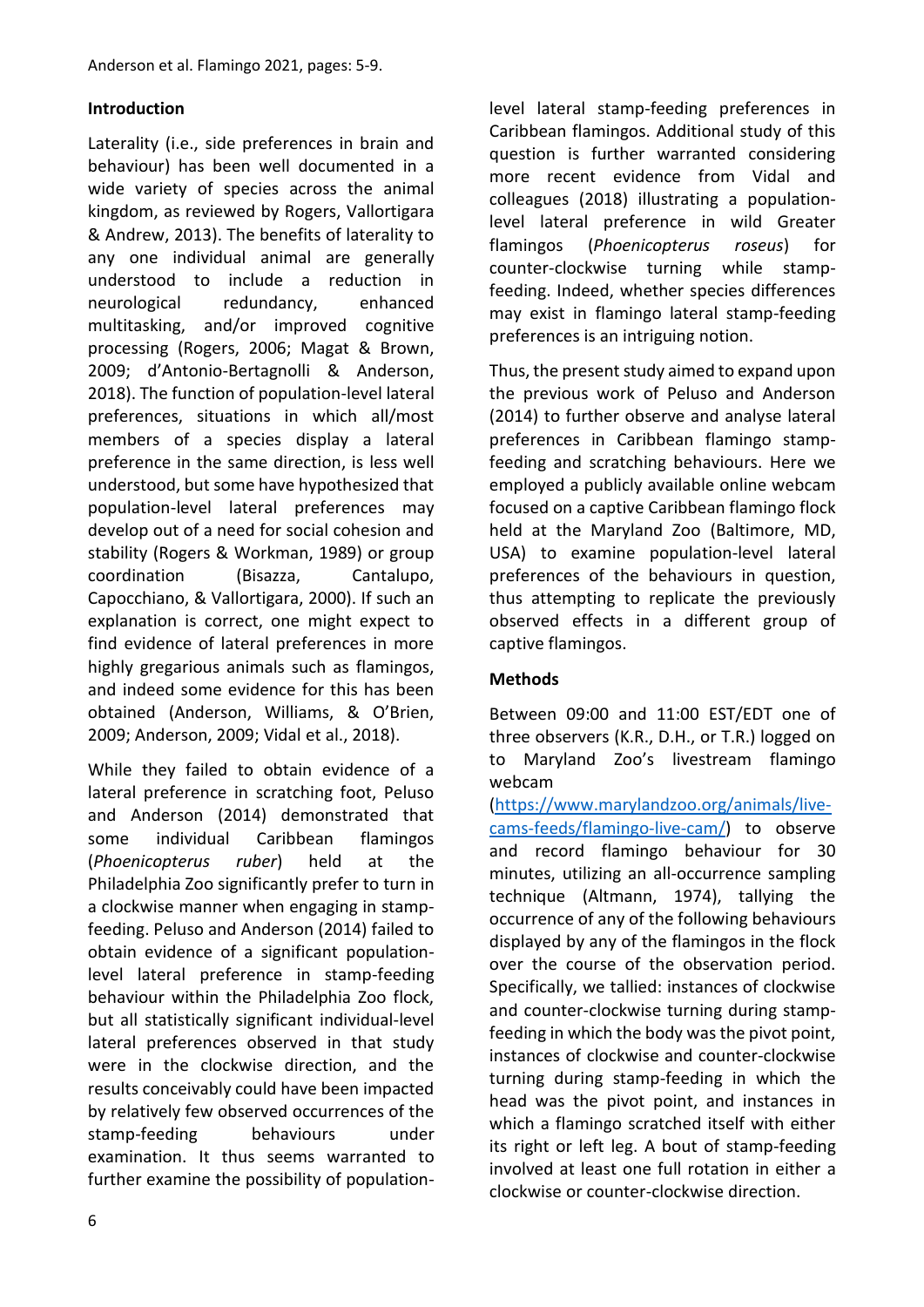### **Introduction**

Laterality (i.e., side preferences in brain and behaviour) has been well documented in a wide variety of species across the animal kingdom, as reviewed by Rogers, Vallortigara & Andrew, 2013). The benefits of laterality to any one individual animal are generally understood to include a reduction in neurological redundancy, enhanced multitasking, and/or improved cognitive processing (Rogers, 2006; Magat & Brown, 2009; d'Antonio-Bertagnolli & Anderson, 2018). The function of population-level lateral preferences, situations in which all/most members of a species display a lateral preference in the same direction, is less well understood, but some have hypothesized that population-level lateral preferences may develop out of a need for social cohesion and stability (Rogers & Workman, 1989) or group coordination (Bisazza, Cantalupo, Capocchiano, & Vallortigara, 2000). If such an explanation is correct, one might expect to find evidence of lateral preferences in more highly gregarious animals such as flamingos, and indeed some evidence for this has been obtained (Anderson, Williams, & O'Brien, 2009; Anderson, 2009; Vidal et al., 2018).

While they failed to obtain evidence of a lateral preference in scratching foot, Peluso and Anderson (2014) demonstrated that some individual Caribbean flamingos (*Phoenicopterus ruber*) held at the Philadelphia Zoo significantly prefer to turn in a clockwise manner when engaging in stampfeeding. Peluso and Anderson (2014) failed to obtain evidence of a significant populationlevel lateral preference in stamp-feeding behaviour within the Philadelphia Zoo flock, but all statistically significant individual-level lateral preferences observed in that study were in the clockwise direction, and the results conceivably could have been impacted by relatively few observed occurrences of the stamp-feeding behaviours under examination. It thus seems warranted to further examine the possibility of populationlevel lateral stamp-feeding preferences in Caribbean flamingos. Additional study of this question is further warranted considering more recent evidence from Vidal and colleagues (2018) illustrating a populationlevel lateral preference in wild Greater flamingos (*Phoenicopterus roseus*) for counter-clockwise turning while stampfeeding. Indeed, whether species differences may exist in flamingo lateral stamp-feeding preferences is an intriguing notion.

Thus, the present study aimed to expand upon the previous work of Peluso and Anderson (2014) to further observe and analyse lateral preferences in Caribbean flamingo stampfeeding and scratching behaviours. Here we employed a publicly available online webcam focused on a captive Caribbean flamingo flock held at the Maryland Zoo (Baltimore, MD, USA) to examine population-level lateral preferences of the behaviours in question, thus attempting to replicate the previously observed effects in a different group of captive flamingos.

### **Methods**

Between 09:00 and 11:00 EST/EDT one of three observers (K.R., D.H., or T.R.) logged on to Maryland Zoo's livestream flamingo webcam

[\(https://www.marylandzoo.org/animals/live](https://www.marylandzoo.org/animals/live-cams-feeds/flamingo-live-cam/)[cams-feeds/flamingo-live-cam/\)](https://www.marylandzoo.org/animals/live-cams-feeds/flamingo-live-cam/) to observe and record flamingo behaviour for 30 minutes, utilizing an all-occurrence sampling technique (Altmann, 1974), tallying the occurrence of any of the following behaviours displayed by any of the flamingos in the flock over the course of the observation period. Specifically, we tallied: instances of clockwise and counter-clockwise turning during stampfeeding in which the body was the pivot point, instances of clockwise and counter-clockwise turning during stamp-feeding in which the head was the pivot point, and instances in which a flamingo scratched itself with either its right or left leg. A bout of stamp-feeding involved at least one full rotation in either a clockwise or counter-clockwise direction.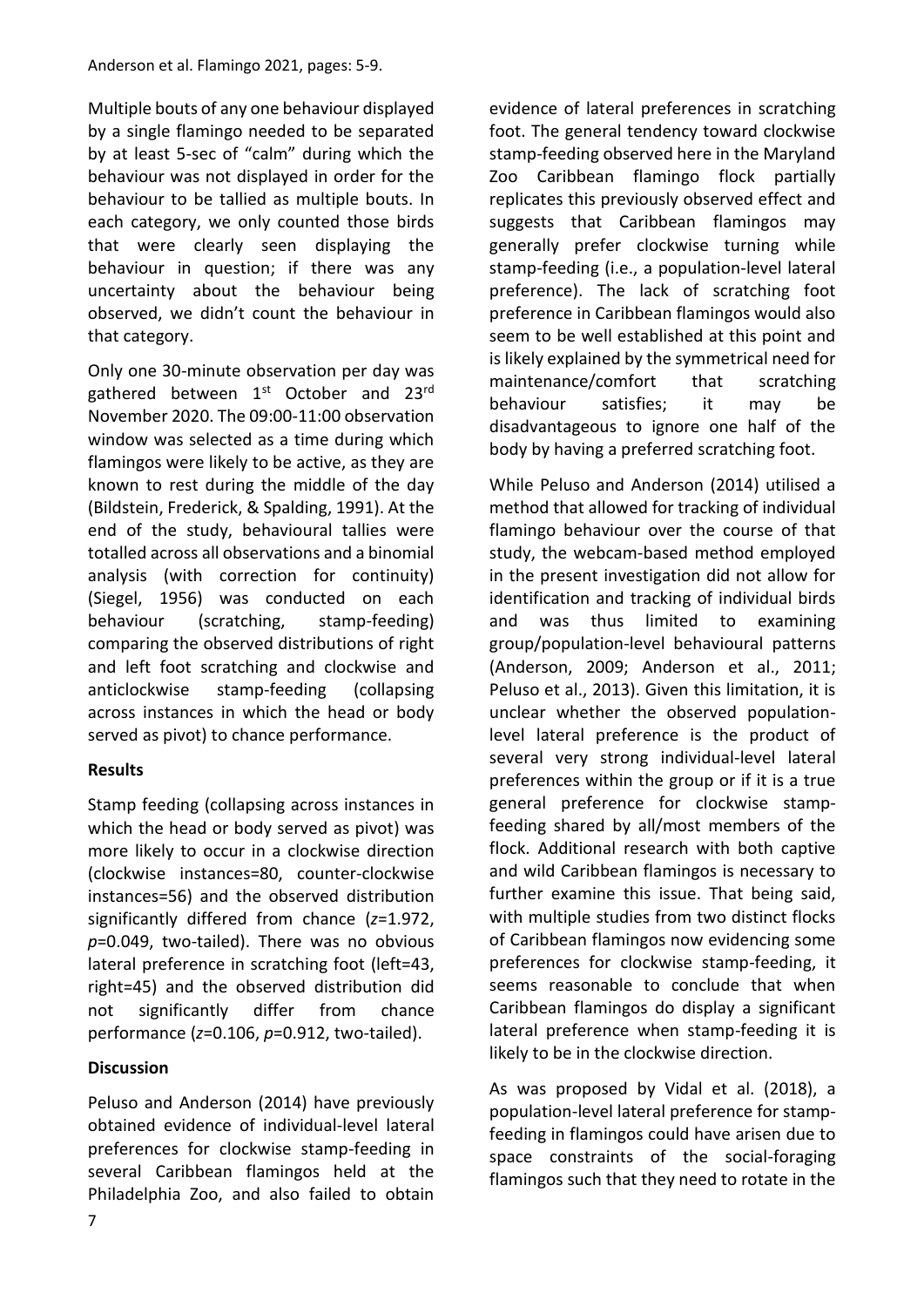Multiple bouts of any one behaviour displayed by a single flamingo needed to be separated by at least 5-sec of "calm" during which the behaviour was not displayed in order for the behaviour to be tallied as multiple bouts. In each category, we only counted those birds that were clearly seen displaying the behaviour in question; if there was any uncertainty about the behaviour being observed, we didn't count the behaviour in that category.

Only one 30-minute observation per day was gathered between 1<sup>st</sup> October and 23<sup>rd</sup> November 2020. The 09:00-11:00 observation window was selected as a time during which flamingos were likely to be active, as they are known to rest during the middle of the day (Bildstein, Frederick, & Spalding, 1991). At the end of the study, behavioural tallies were totalled across all observations and a binomial analysis (with correction for continuity) (Siegel, 1956) was conducted on each behaviour (scratching, stamp-feeding) comparing the observed distributions of right and left foot scratching and clockwise and anticlockwise stamp-feeding (collapsing across instances in which the head or body served as pivot) to chance performance.

## **Results**

Stamp feeding (collapsing across instances in which the head or body served as pivot) was more likely to occur in a clockwise direction (clockwise instances=80, counter-clockwise instances=56) and the observed distribution significantly differed from chance (*z*=1.972, *p*=0.049, two-tailed). There was no obvious lateral preference in scratching foot (left=43, right=45) and the observed distribution did not significantly differ from chance performance (*z*=0.106, *p*=0.912, two-tailed).

### **Discussion**

Peluso and Anderson (2014) have previously obtained evidence of individual-level lateral preferences for clockwise stamp-feeding in several Caribbean flamingos held at the Philadelphia Zoo, and also failed to obtain

evidence of lateral preferences in scratching foot. The general tendency toward clockwise stamp-feeding observed here in the Maryland Zoo Caribbean flamingo flock partially replicates this previously observed effect and suggests that Caribbean flamingos may generally prefer clockwise turning while stamp-feeding (i.e., a population-level lateral preference). The lack of scratching foot preference in Caribbean flamingos would also seem to be well established at this point and is likely explained by the symmetrical need for maintenance/comfort that scratching behaviour satisfies; it may be disadvantageous to ignore one half of the body by having a preferred scratching foot.

While Peluso and Anderson (2014) utilised a method that allowed for tracking of individual flamingo behaviour over the course of that study, the webcam-based method employed in the present investigation did not allow for identification and tracking of individual birds and was thus limited to examining group/population-level behavioural patterns (Anderson, 2009; Anderson et al., 2011; Peluso et al., 2013). Given this limitation, it is unclear whether the observed populationlevel lateral preference is the product of several very strong individual-level lateral preferences within the group or if it is a true general preference for clockwise stampfeeding shared by all/most members of the flock. Additional research with both captive and wild Caribbean flamingos is necessary to further examine this issue. That being said, with multiple studies from two distinct flocks of Caribbean flamingos now evidencing some preferences for clockwise stamp-feeding, it seems reasonable to conclude that when Caribbean flamingos do display a significant lateral preference when stamp-feeding it is likely to be in the clockwise direction.

As was proposed by Vidal et al. (2018), a population-level lateral preference for stampfeeding in flamingos could have arisen due to space constraints of the social-foraging flamingos such that they need to rotate in the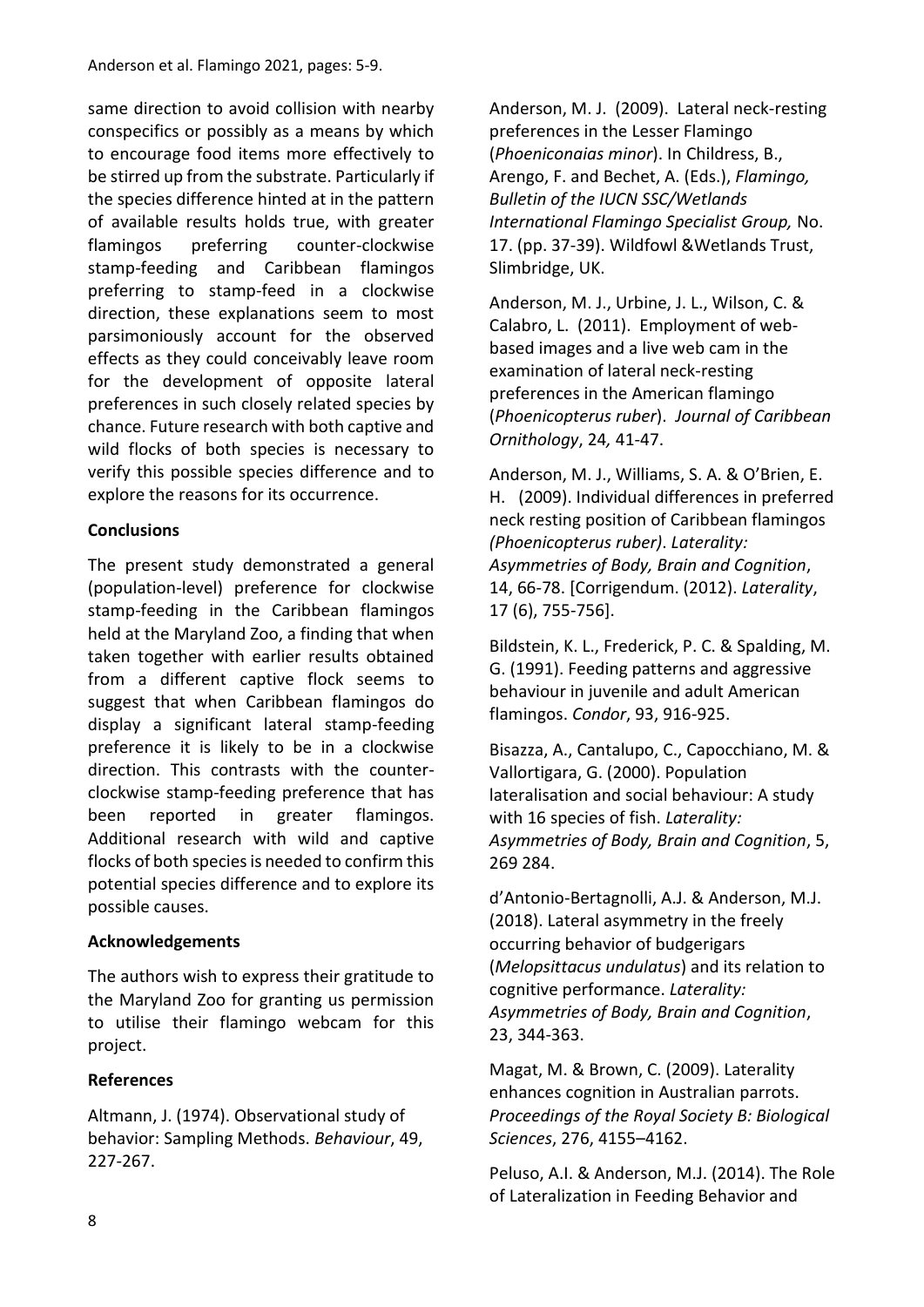same direction to avoid collision with nearby conspecifics or possibly as a means by which to encourage food items more effectively to be stirred up from the substrate. Particularly if the species difference hinted at in the pattern of available results holds true, with greater flamingos preferring counter-clockwise stamp-feeding and Caribbean flamingos preferring to stamp-feed in a clockwise direction, these explanations seem to most parsimoniously account for the observed effects as they could conceivably leave room for the development of opposite lateral preferences in such closely related species by chance. Future research with both captive and wild flocks of both species is necessary to verify this possible species difference and to explore the reasons for its occurrence.

### **Conclusions**

The present study demonstrated a general (population-level) preference for clockwise stamp-feeding in the Caribbean flamingos held at the Maryland Zoo, a finding that when taken together with earlier results obtained from a different captive flock seems to suggest that when Caribbean flamingos do display a significant lateral stamp-feeding preference it is likely to be in a clockwise direction. This contrasts with the counterclockwise stamp-feeding preference that has been reported in greater flamingos. Additional research with wild and captive flocks of both species is needed to confirm this potential species difference and to explore its possible causes.

### **Acknowledgements**

The authors wish to express their gratitude to the Maryland Zoo for granting us permission to utilise their flamingo webcam for this project.

### **References**

Altmann, J. (1974). Observational study of behavior: Sampling Methods. *Behaviour*, 49, 227-267.

Anderson, M. J. (2009). Lateral neck-resting preferences in the Lesser Flamingo (*Phoeniconaias minor*). In Childress, B., Arengo, F. and Bechet, A. (Eds.), *Flamingo, Bulletin of the IUCN SSC/Wetlands International Flamingo Specialist Group,* No. 17. (pp. 37-39). Wildfowl &Wetlands Trust, Slimbridge, UK.

Anderson, M. J., Urbine, J. L., Wilson, C. & Calabro, L. (2011). Employment of webbased images and a live web cam in the examination of lateral neck-resting preferences in the American flamingo (*Phoenicopterus ruber*). *Journal of Caribbean Ornithology*, 24*,* 41-47.

Anderson, M. J., Williams, S. A. & O'Brien, E. H. (2009). Individual differences in preferred neck resting position of Caribbean flamingos *(Phoenicopterus ruber)*. *Laterality: Asymmetries of Body, Brain and Cognition*, 14, 66-78. [Corrigendum. (2012). *Laterality*, 17 (6), 755-756].

Bildstein, K. L., Frederick, P. C. & Spalding, M. G. (1991). Feeding patterns and aggressive behaviour in juvenile and adult American flamingos. *Condor*, 93, 916-925.

Bisazza, A., Cantalupo, C., Capocchiano, M. & Vallortigara, G. (2000). Population lateralisation and social behaviour: A study with 16 species of fish. *Laterality: Asymmetries of Body, Brain and Cognition*, 5, 269 284.

d'Antonio-Bertagnolli, A.J. & Anderson, M.J. (2018). Lateral asymmetry in the freely occurring behavior of budgerigars (*Melopsittacus undulatus*) and its relation to cognitive performance. *Laterality: Asymmetries of Body, Brain and Cognition*, 23, 344-363.

Magat, M. & Brown, C. (2009). Laterality enhances cognition in Australian parrots. *Proceedings of the Royal Society B: Biological Sciences*, 276, 4155–4162.

Peluso, A.I. & Anderson, M.J. (2014). The Role of Lateralization in Feeding Behavior and